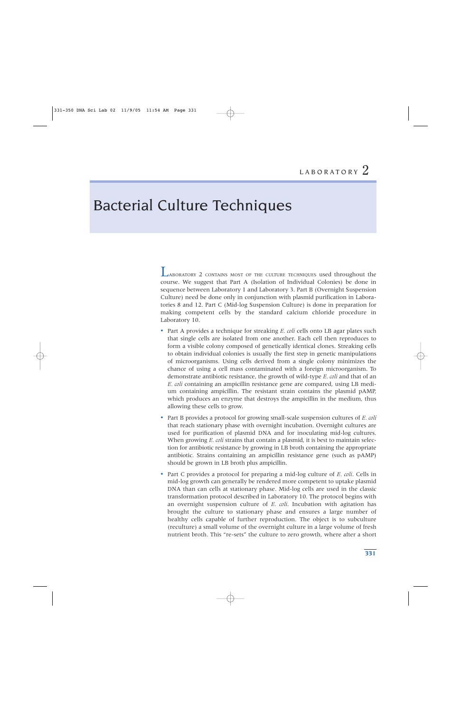# Bacterial Culture Techniques

LABORATORY 2 CONTAINS MOST OF THE CULTURE TECHNIQUES used throughout the course. We suggest that Part A (Isolation of Individual Colonies) be done in sequence between Laboratory 1 and Laboratory 3. Part B (Overnight Suspension Culture) need be done only in conjunction with plasmid purification in Laboratories 8 and 12. Part C (Mid-log Suspension Culture) is done in preparation for making competent cells by the standard calcium chloride procedure in Laboratory 10.

- Part A provides a technique for streaking *E. coli* cells onto LB agar plates such that single cells are isolated from one another. Each cell then reproduces to form a visible colony composed of genetically identical clones. Streaking cells to obtain individual colonies is usually the first step in genetic manipulations of microorganisms. Using cells derived from a single colony minimizes the chance of using a cell mass contaminated with a foreign microorganism. To demonstrate antibiotic resistance, the growth of wild-type *E. coli* and that of an *E. coli* containing an ampicillin resistance gene are compared, using LB medium containing ampicillin. The resistant strain contains the plasmid pAMP, which produces an enzyme that destroys the ampicillin in the medium, thus allowing these cells to grow.
- Part B provides a protocol for growing small-scale suspension cultures of *E. coli* that reach stationary phase with overnight incubation. Overnight cultures are used for purification of plasmid DNA and for inoculating mid-log cultures. When growing *E. coli* strains that contain a plasmid, it is best to maintain selection for antibiotic resistance by growing in LB broth containing the appropriate antibiotic. Strains containing an ampicillin resistance gene (such as pAMP) should be grown in LB broth plus ampicillin.
- Part C provides a protocol for preparing a mid-log culture of *E. coli*. Cells in mid-log growth can generally be rendered more competent to uptake plasmid DNA than can cells at stationary phase. Mid-log cells are used in the classic transformation protocol described in Laboratory 10. The protocol begins with an overnight suspension culture of *E. coli*. Incubation with agitation has brought the culture to stationary phase and ensures a large number of healthy cells capable of further reproduction. The object is to subculture (reculture) a small volume of the overnight culture in a large volume of fresh nutrient broth. This "re-sets" the culture to zero growth, where after a short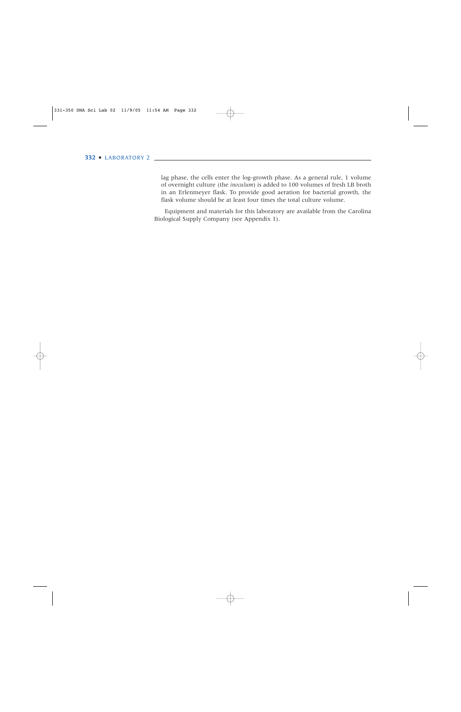lag phase, the cells enter the log-growth phase. As a general rule, 1 volume of overnight culture (the *inoculum*) is added to 100 volumes of fresh LB broth in an Erlenmeyer flask. To provide good aeration for bacterial growth, the flask volume should be at least four times the total culture volume.

Equipment and materials for this laboratory are available from the Carolina Biological Supply Company (see Appendix 1).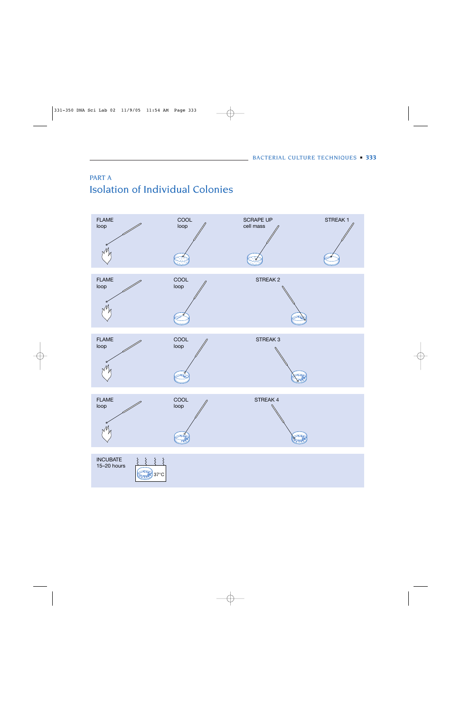## PART A Isolation of Individual Colonies

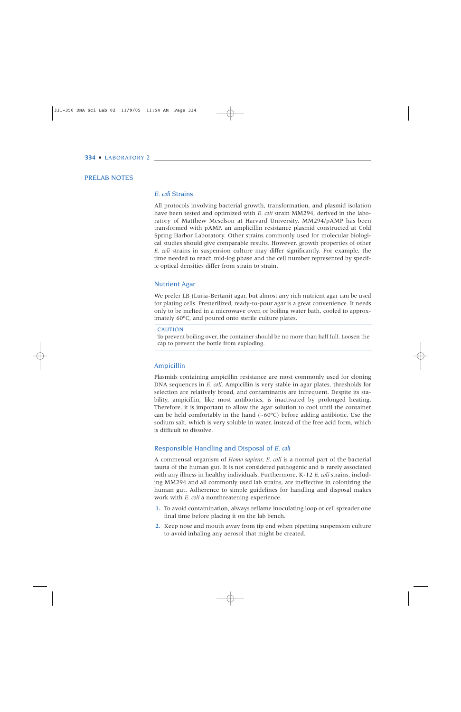#### PRELAB NOTES

#### *E. coli* Strains

All protocols involving bacterial growth, transformation, and plasmid isolation have been tested and optimized with *E. coli* strain MM294, derived in the laboratory of Matthew Meselson at Harvard University. MM294/pAMP has been transformed with pAMP, an amplicillin resistance plasmid constructed at Cold Spring Harbor Laboratory. Other strains commonly used for molecular biological studies should give comparable results. However, growth properties of other *E. coli* strains in suspension culture may differ significantly. For example, the time needed to reach mid-log phase and the cell number represented by specific optical densities differ from strain to strain.

#### Nutrient Agar

We prefer LB (Luria-Bertani) agar, but almost any rich nutrient agar can be used for plating cells. Presterilized, ready-to-pour agar is a great convenience. It needs only to be melted in a microwave oven or boiling water bath, cooled to approximately 60ºC, and poured onto sterile culture plates.

#### CAUTION

To prevent boiling over, the container should be no more than half full. Loosen the cap to prevent the bottle from exploding.

#### Ampicillin

Plasmids containing ampicillin resistance are most commonly used for cloning DNA sequences in *E. coli.* Ampicillin is very stable in agar plates, thresholds for selection are relatively broad, and contaminants are infrequent. Despite its stability, ampicillin, like most antibiotics, is inactivated by prolonged heating. Therefore, it is important to allow the agar solution to cool until the container can be held comfortably in the hand  $({\sim}60^{\circ}C)$  before adding antibiotic. Use the sodium salt, which is very soluble in water, instead of the free acid form, which is difficult to dissolve.

#### Responsible Handling and Disposal of *E. coli*

A commensal organism of *Homo sapiens, E. coli* is a normal part of the bacterial fauna of the human gut. It is not considered pathogenic and is rarely associated with any illness in healthy individuals. Furthermore, K-12 *E. coli* strains, including MM294 and all commonly used lab strains, are ineffective in colonizing the human gut. Adherence to simple guidelines for handling and disposal makes work with *E. coli* a nonthreatening experience.

- 1. To avoid contamination, always reflame inoculating loop or cell spreader one final time before placing it on the lab bench.
- 2. Keep nose and mouth away from tip end when pipetting suspension culture to avoid inhaling any aerosol that might be created.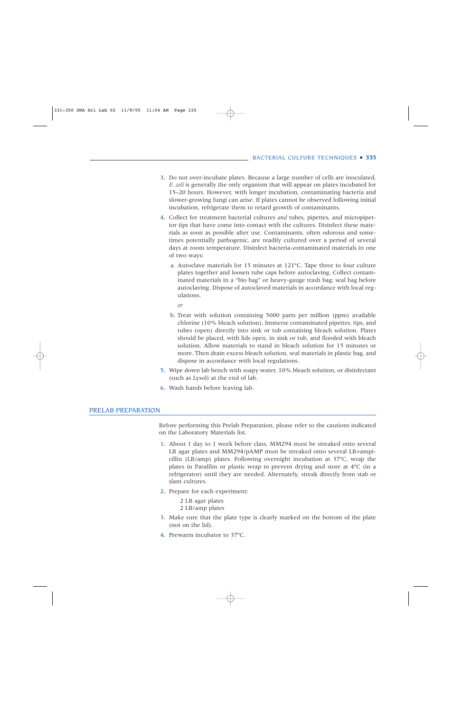- 3. Do not over-incubate plates. Because a large number of cells are inoculated, *E. coli* is generally the only organism that will appear on plates incubated for 15–20 hours. However, with longer incubation, contaminating bacteria and slower-growing fungi can arise. If plates cannot be observed following initial incubation, refrigerate them to retard growth of contaminants.
- 4. Collect for treatment bacterial cultures *and* tubes, pipettes, and micropipettor tips that have come into contact with the cultures. Disinfect these materials as soon as possible after use. Contaminants, often odorous and sometimes potentially pathogenic, are readily cultured over a period of several days at room temperature. Disinfect bacteria-contaminated materials in one of two ways:
	- a. Autoclave materials for 15 minutes at  $121^{\circ}$ C. Tape three to four culture plates together and loosen tube caps before autoclaving. Collect contaminated materials in a "bio bag" or heavy-gauge trash bag; seal bag before autoclaving. Dispose of autoclaved materials in accordance with local regulations.

*or*

- b. Treat with solution containing 5000 parts per million (ppm) available chlorine (10% bleach solution). Immerse contaminated pipettes, tips, and tubes (open) directly into sink or tub containing bleach solution. Plates should be placed, with lids open, in sink or tub, and flooded with bleach solution. Allow materials to stand in bleach solution for 15 minutes or more. Then drain excess bleach solution, seal materials in plastic bag, and dispose in accordance with local regulations.
- 5. Wipe down lab bench with soapy water, 10% bleach solution, or disinfectant (such as Lysol) at the end of lab.
- 6. Wash hands before leaving lab.

### PRELAB PREPARATION

Before performing this Prelab Preparation, please refer to the cautions indicated on the Laboratory Materials list.

- 1. About 1 day to 1 week before class, MM294 must be streaked onto several LB agar plates and MM294/pAMP must be streaked onto several LB+ampicillin (LB/amp) plates. Following overnight incubation at 37ºC, wrap the plates in Parafilm or plastic wrap to prevent drying and store at 4ºC (in a refrigerator) until they are needed. Alternately, streak directly from stab or slant cultures.
- 2. Prepare for each experiment:
	- 2 LB agar plates 2 LB/amp plates
- 3. Make sure that the plate type is clearly marked on the bottom of the plate (not on the lid).
- 4. Prewarm incubator to 37ºC.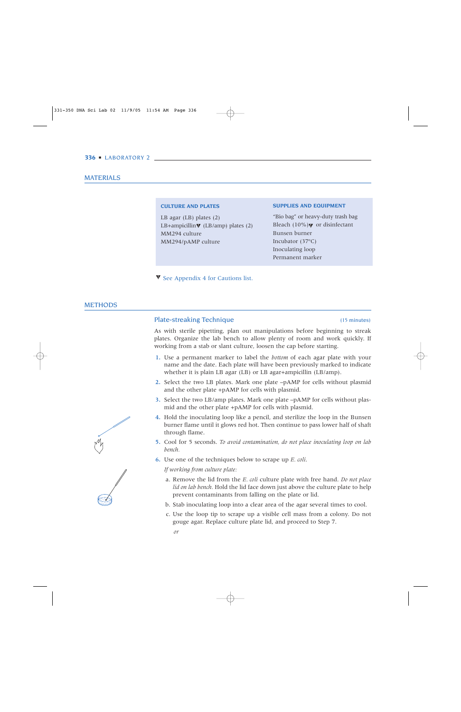#### MATERIALS

#### **CULTURE AND PLATES**

LB agar (LB) plates (2) LB+ampicillin $\Psi$  (LB/amp) plates (2) MM294 culture MM294/pAMP culture

#### **SUPPLIES AND EQUIPMENT**

"Bio bag" or heavy-duty trash bag Bleach  $(10\%)$  or disinfectant Bunsen burner Incubator (37ºC) Inoculating loop Permanent marker

 $\mathbf$  See Appendix 4 for Cautions list.

#### METHODS

### Plate-streaking Technique (15 minutes)

As with sterile pipetting, plan out manipulations before beginning to streak plates. Organize the lab bench to allow plenty of room and work quickly. If working from a stab or slant culture, loosen the cap before starting.

- 1. Use a permanent marker to label the *bottom* of each agar plate with your name and the date. Each plate will have been previously marked to indicate whether it is plain LB agar (LB) or LB agar+ampicillin (LB/amp).
- 2. Select the two LB plates. Mark one plate –pAMP for cells without plasmid and the other plate +pAMP for cells with plasmid.
- 3. Select the two LB/amp plates. Mark one plate –pAMP for cells without plasmid and the other plate +pAMP for cells with plasmid.
- 4. Hold the inoculating loop like a pencil, and sterilize the loop in the Bunsen burner flame until it glows red hot. Then continue to pass lower half of shaft through flame.
- 5. Cool for 5 seconds. *To avoid contamination, do not place inoculating loop on lab bench.*
- 6. Use one of the techniques below to scrape up *E. coli*.

*If working from culture plate:*

- a. Remove the lid from the *E. coli* culture plate with free hand. *Do not place lid on lab bench.* Hold the lid face down just above the culture plate to help prevent contaminants from falling on the plate or lid.
- b. Stab inoculating loop into a clear area of the agar several times to cool.
- c. Use the loop tip to scrape up a visible cell mass from a colony. Do not gouge agar. Replace culture plate lid, and proceed to Step 7.

*or*



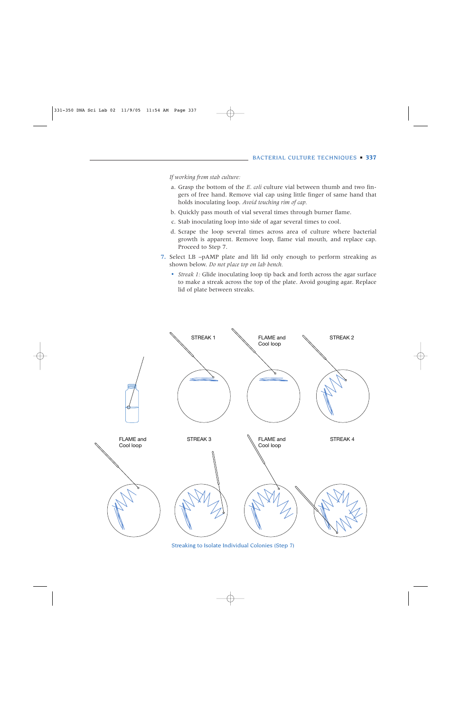*If working from stab culture:*

- a. Grasp the bottom of the *E. coli* culture vial between thumb and two fingers of free hand. Remove vial cap using little finger of same hand that holds inoculating loop. *Avoid touching rim of cap.*
- b. Quickly pass mouth of vial several times through burner flame.
- c. Stab inoculating loop into side of agar several times to cool.
- d. Scrape the loop several times across area of culture where bacterial growth is apparent. Remove loop, flame vial mouth, and replace cap. Proceed to Step 7.
- 7. Select LB –pAMP plate and lift lid only enough to perform streaking as shown below. *Do not place top on lab bench.*
	- *Streak 1:* Glide inoculating loop tip back and forth across the agar surface to make a streak across the top of the plate. Avoid gouging agar. Replace lid of plate between streaks.



Streaking to Isolate Individual Colonies (Step 7)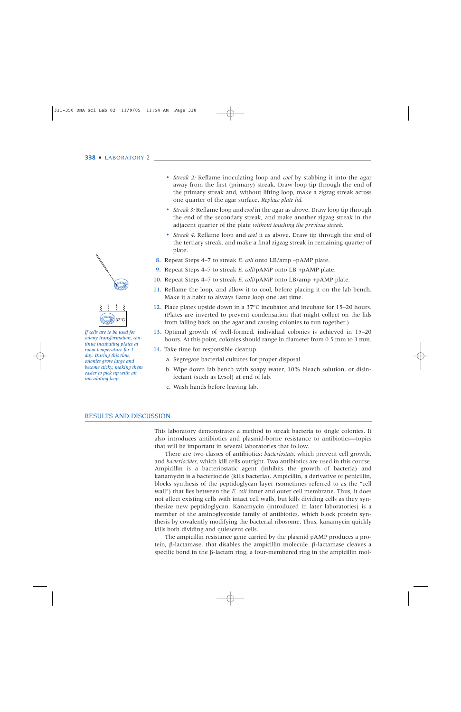



*If cells are to be used for colony transformation, continue incubating plates at room temperature for 1 day. During this time, colonies grow large and become sticky, making them easier to pick up with an inoculating loop.*

- *Streak 2:* Reflame inoculating loop and *cool* by stabbing it into the agar away from the first (primary) streak. Draw loop tip through the end of the primary streak and, without lifting loop, make a zigzag streak across one quarter of the agar surface. *Replace plate lid.*
- *Streak 3:* Reflame loop and *cool* in the agar as above. Draw loop tip through the end of the secondary streak, and make another zigzag streak in the adjacent quarter of the plate *without touching the previous streak.*
- *Streak 4:* Reflame loop and *cool* it as above. Draw tip through the end of the tertiary streak, and make a final zigzag streak in remaining quarter of plate.
- 8. Repeat Steps 4–7 to streak *E. coli* onto LB/amp –pAMP plate.
- 9. Repeat Steps 4–7 to streak *E. coli*/pAMP onto LB +pAMP plate.
- 10. Repeat Steps 4–7 to streak *E. coli*/pAMP onto LB/amp +pAMP plate.
- 11. Reflame the loop, and allow it to cool, before placing it on the lab bench. Make it a habit to always flame loop one last time.
- 12. Place plates upside down in a 37ºC incubator and incubate for 15–20 hours. (Plates are inverted to prevent condensation that might collect on the lids from falling back on the agar and causing colonies to run together.)
- 13. Optimal growth of well-formed, individual colonies is achieved in 15–20 hours. At this point, colonies should range in diameter from 0.5 mm to 3 mm.
- 14. Take time for responsible cleanup.
	- a. Segregate bacterial cultures for proper disposal.
	- b. Wipe down lab bench with soapy water, 10% bleach solution, or disinfectant (such as Lysol) at end of lab.
	- c. Wash hands before leaving lab.

#### RESULTS AND DISCUSSION

This laboratory demonstrates a method to streak bacteria to single colonies. It also introduces antibiotics and plasmid-borne resistance to antibiotics—topics that will be important in several laboratories that follow.

There are two classes of antibiotics: *bacteriostats,* which prevent cell growth, and *bacteriocides*, which kill cells outright. Two antibiotics are used in this course. Ampicillin is a bacteriostatic agent (inhibits the growth of bacteria) and kanamycin is a bacteriocide (kills bacteria). Ampicillin, a derivative of penicillin, blocks synthesis of the peptidoglycan layer (sometimes referred to as the "cell wall") that lies between the *E. coli* inner and outer cell membrane. Thus, it does not affect existing cells with intact cell walls, but kills dividing cells as they synthesize new peptidoglycan. Kanamycin (introduced in later laboratories) is a member of the aminoglycoside family of antibiotics, which block protein synthesis by covalently modifying the bacterial ribosome. Thus, kanamycin quickly kills both dividing and quiescent cells.

The ampicillin resistance gene carried by the plasmid pAMP produces a protein, β-lactamase, that disables the ampicillin molecule. β-lactamase cleaves a specific bond in the β-lactam ring, a four-membered ring in the ampicillin mol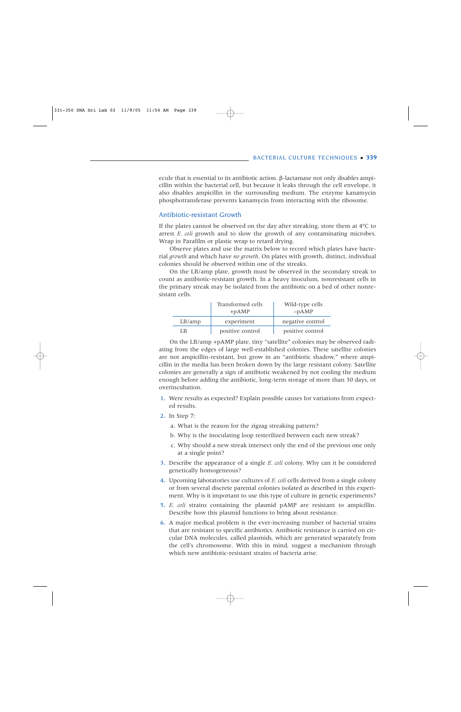ecule that is essential to its antibiotic action.  $β$ -lactamase not only disables ampicillin within the bacterial cell, but because it leaks through the cell envelope, it also disables ampicillin in the surrounding medium. The enzyme kanamycin phosphotransferase prevents kanamycin from interacting with the ribosome.

#### Antibiotic-resistant Growth

If the plates cannot be observed on the day after streaking, store them at  $4^{\circ}$ C to arrest *E. coli* growth and to slow the growth of any contaminating microbes. Wrap in Parafilm or plastic wrap to retard drying.

Observe plates and use the matrix below to record which plates have bacterial *growth* and which have *no growth*. On plates with growth, distinct, individual colonies should be observed within one of the streaks.

On the LB/amp plate, growth must be observed in the secondary streak to count as antibiotic-resistant growth. In a heavy inoculum, nonresistant cells in the primary streak may be isolated from the antibiotic on a bed of other nonresistant cells.

|        | Transformed cells<br>$+pAMP$ | Wild-type cells  |
|--------|------------------------------|------------------|
|        |                              | $-pAMP$          |
| LB/amp | experiment                   | negative control |
| LΒ     | positive control             | positive control |

On the LB/amp +pAMP plate, tiny "satellite" colonies may be observed radiating from the edges of large well-established colonies. These satellite colonies are not ampicillin-resistant, but grow in an "antibiotic shadow," where ampicillin in the media has been broken down by the large resistant colony. Satellite colonies are generally a sign of antibiotic weakened by not cooling the medium enough before adding the antibiotic, long-term storage of more than 30 days, or overincubation.

- 1. Were results as expected? Explain possible causes for variations from expected results.
- 2. In Step 7:
	- a. What is the reason for the zigzag streaking pattern?
	- b. Why is the inoculating loop resterilized between each new streak?
	- c. Why should a new streak intersect only the end of the previous one only at a single point?
- 3. Describe the appearance of a single *E. coli* colony. Why can it be considered genetically homogeneous?
- 4. Upcoming laboratories use cultures of *E. coli* cells derived from a single colony or from several discrete parental colonies isolated as described in this experiment. Why is it important to use this type of culture in genetic experiments?
- 5. *E. coli* strains containing the plasmid pAMP are resistant to ampicillin. Describe how this plasmid functions to bring about resistance.
- 6. A major medical problem is the ever-increasing number of bacterial strains that are resistant to specific antibiotics. Antibiotic resistance is carried on circular DNA molecules, called plasmids, which are generated separately from the cell's chromosome. With this in mind, suggest a mechanism through which new antibiotic-resistant strains of bacteria arise.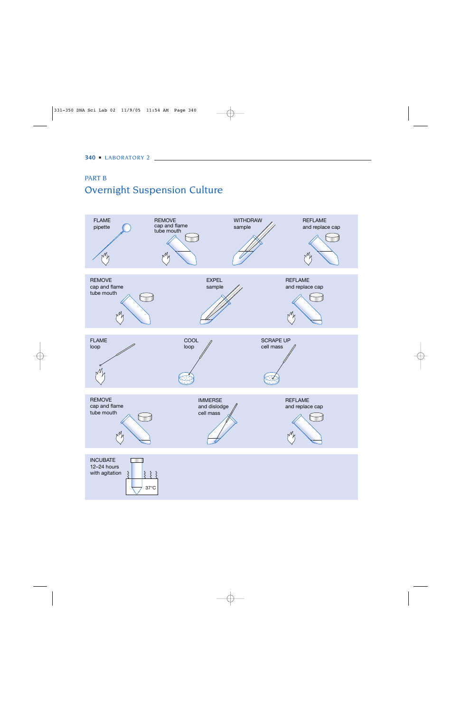## PART B Overnight Suspension Culture

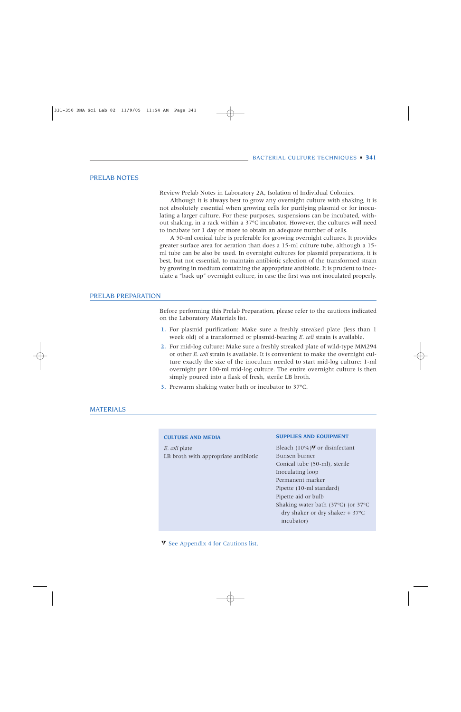#### PRELAB NOTES

Review Prelab Notes in Laboratory 2A, Isolation of Individual Colonies.

Although it is always best to grow any overnight culture with shaking, it is not absolutely essential when growing cells for purifying plasmid or for inoculating a larger culture. For these purposes, suspensions can be incubated, without shaking, in a rack within a 37ºC incubator. However, the cultures will need to incubate for 1 day or more to obtain an adequate number of cells.

A 50-ml conical tube is preferable for growing overnight cultures. It provides greater surface area for aeration than does a 15-ml culture tube, although a 15 ml tube can be also be used. In overnight cultures for plasmid preparations, it is best, but not essential, to maintain antibiotic selection of the transformed strain by growing in medium containing the appropriate antibiotic. It is prudent to inoculate a "back up" overnight culture, in case the first was not inoculated properly.

#### PRELAB PREPARATION

Before performing this Prelab Preparation, please refer to the cautions indicated on the Laboratory Materials list.

- 1. For plasmid purification: Make sure a freshly streaked plate (less than 1 week old) of a transformed or plasmid-bearing *E. coli* strain is available.
- 2. For mid-log culture: Make sure a freshly streaked plate of wild-type MM294 or other *E. coli* strain is available. It is convenient to make the overnight culture exactly the size of the inoculum needed to start mid-log culture: 1-ml overnight per 100-ml mid-log culture. The entire overnight culture is then simply poured into a flask of fresh, sterile LB broth.
- 3. Prewarm shaking water bath or incubator to 37ºC.

#### MATERIALS

#### **CULTURE AND MEDIA**

*E. coli* plate LB broth with appropriate antibiotic

#### **SUPPLIES AND EQUIPMENT**

Bleach (10%) $\Psi$  or disinfectant Bunsen burner Conical tube (50-ml), sterile Inoculating loop Permanent marker Pipette (10-ml standard) Pipette aid or bulb Shaking water bath (37ºC) (or 37ºC dry shaker or dry shaker + 37ºC incubator)

 $\triangledown$  See Appendix 4 for Cautions list.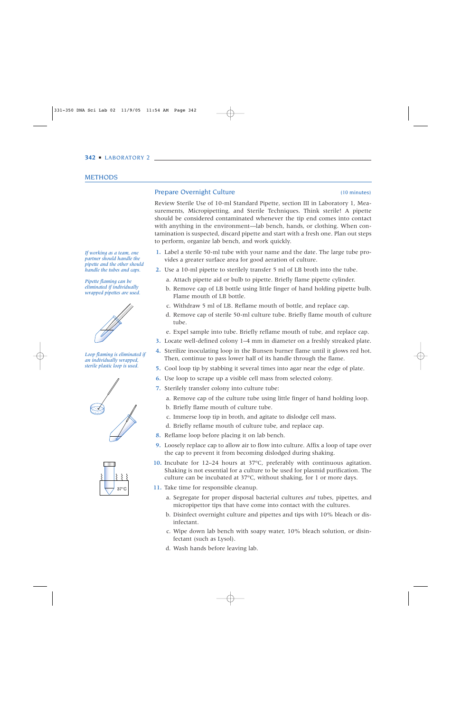#### **METHODS**

#### Prepare Overnight Culture (10 minutes)

Review Sterile Use of 10-ml Standard Pipette, section III in Laboratory 1, Measurements, Micropipetting, and Sterile Techniques. Think sterile! A pipette should be considered contaminated whenever the tip end comes into contact with anything in the environment—lab bench, hands, or clothing. When contamination is suspected, discard pipette and start with a fresh one. Plan out steps to perform, organize lab bench, and work quickly.

- 1. Label a sterile 50-ml tube with your name and the date. The large tube provides a greater surface area for good aeration of culture.
- 2. Use a 10-ml pipette to sterilely transfer 5 ml of LB broth into the tube.
	- a. Attach pipette aid or bulb to pipette. Briefly flame pipette cylinder.
	- b. Remove cap of LB bottle using little finger of hand holding pipette bulb. Flame mouth of LB bottle.
	- c. Withdraw 5 ml of LB. Reflame mouth of bottle, and replace cap.
	- d. Remove cap of sterile 50-ml culture tube. Briefly flame mouth of culture tube.
	- e. Expel sample into tube. Briefly reflame mouth of tube, and replace cap.
- 3. Locate well-defined colony 1–4 mm in diameter on a freshly streaked plate.
- 4. Sterilize inoculating loop in the Bunsen burner flame until it glows red hot. Then, continue to pass lower half of its handle through the flame.
- 5. Cool loop tip by stabbing it several times into agar near the edge of plate.
- 6. Use loop to scrape up a visible cell mass from selected colony.
- 7. Sterilely transfer colony into culture tube:
	- a. Remove cap of the culture tube using little finger of hand holding loop.
	- b. Briefly flame mouth of culture tube.
	- c. Immerse loop tip in broth, and agitate to dislodge cell mass.
	- d. Briefly reflame mouth of culture tube, and replace cap.
- 8. Reflame loop before placing it on lab bench.
- 9. Loosely replace cap to allow air to flow into culture. Affix a loop of tape over the cap to prevent it from becoming dislodged during shaking.
- 10. Incubate for 12–24 hours at 37ºC, preferably with continuous agitation. Shaking is not essential for a culture to be used for plasmid purification. The culture can be incubated at 37ºC, without shaking, for 1 or more days.
- 11. Take time for responsible cleanup.
	- a. Segregate for proper disposal bacterial cultures *and* tubes, pipettes, and micropipettor tips that have come into contact with the cultures.
	- b. Disinfect overnight culture and pipettes and tips with 10% bleach or disinfectant.
	- c. Wipe down lab bench with soapy water, 10% bleach solution, or disinfectant (such as Lysol).
	- d. Wash hands before leaving lab.

*If working as a team, one partner should handle the pipette and the other should handle the tubes and caps.*

*Pipette flaming can be eliminated if individually wrapped pipettes are used.*



*Loop flaming is eliminated if an individually wrapped, sterile plastic loop is used.*



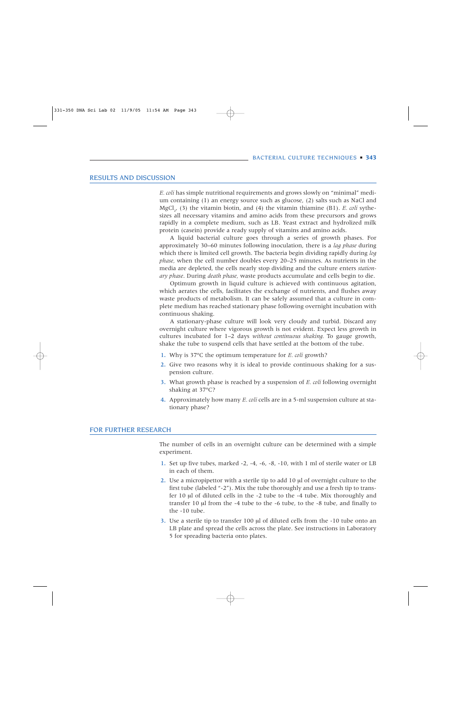#### RESULTS AND DISCUSSION

*E. coli* has simple nutritional requirements and grows slowly on "minimal" medium containing (1) an energy source such as glucose, (2) salts such as NaCl and  $MgCl_{2'}$  (3) the vitamin biotin, and (4) the vitamin thiamine (B1). *E. coli* sythesizes all necessary vitamins and amino acids from these precursors and grows rapidly in a complete medium, such as LB. Yeast extract and hydrolized milk protein (casein) provide a ready supply of vitamins and amino acids.

A liquid bacterial culture goes through a series of growth phases. For approximately 30–60 minutes following inoculation, there is a *lag phase* during which there is limited cell growth. The bacteria begin dividing rapidly during *log phase,* when the cell number doubles every 20–25 minutes. As nutrients in the media are depleted, the cells nearly stop dividing and the culture enters *stationary phase*. During *death phase,* waste products accumulate and cells begin to die.

Optimum growth in liquid culture is achieved with continuous agitation, which aerates the cells, facilitates the exchange of nutrients, and flushes away waste products of metabolism. It can be safely assumed that a culture in complete medium has reached stationary phase following overnight incubation with continuous shaking.

A stationary-phase culture will look very cloudy and turbid. Discard any overnight culture where vigorous growth is not evident. Expect less growth in cultures incubated for 1–2 days *without continuous shaking.* To gauge growth, shake the tube to suspend cells that have settled at the bottom of the tube.

- 1. Why is 37ºC the optimum temperature for *E. coli* growth?
- 2. Give two reasons why it is ideal to provide continuous shaking for a suspension culture.
- 3. What growth phase is reached by a suspension of *E. coli* following overnight shaking at 37ºC?
- 4. Approximately how many *E. coli* cells are in a 5-ml suspension culture at stationary phase?

#### FOR FURTHER RESEARCH

The number of cells in an overnight culture can be determined with a simple experiment.

- 1. Set up five tubes, marked -2, -4, -6, -8, -10, with 1 ml of sterile water or LB in each of them.
- 2. Use a micropipettor with a sterile tip to add  $10 \mu$  of overnight culture to the first tube (labeled "-2"). Mix the tube thoroughly and use a fresh tip to transfer 10 µl of diluted cells in the -2 tube to the -4 tube. Mix thoroughly and transfer 10 µl from the -4 tube to the -6 tube, to the -8 tube, and finally to the -10 tube.
- 3. Use a sterile tip to transfer 100 µl of diluted cells from the -10 tube onto an LB plate and spread the cells across the plate. See instructions in Laboratory 5 for spreading bacteria onto plates.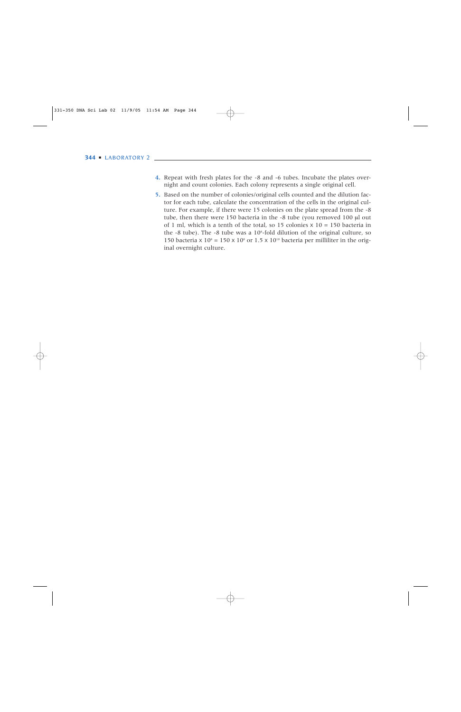- 4. Repeat with fresh plates for the -8 and -6 tubes. Incubate the plates overnight and count colonies. Each colony represents a single original cell.
- 5. Based on the number of colonies/original cells counted and the dilution factor for each tube, calculate the concentration of the cells in the original culture. For example, if there were 15 colonies on the plate spread from the -8 tube, then there were 150 bacteria in the -8 tube (you removed 100 µl out of 1 ml, which is a tenth of the total, so 15 colonies x 10 = 150 bacteria in the  $-8$  tube). The  $-8$  tube was a  $10<sup>s</sup>$ -fold dilution of the original culture, so 150 bacteria x  $10^8 = 150 \times 10^8$  or 1.5 x  $10^{10}$  bacteria per milliliter in the original overnight culture.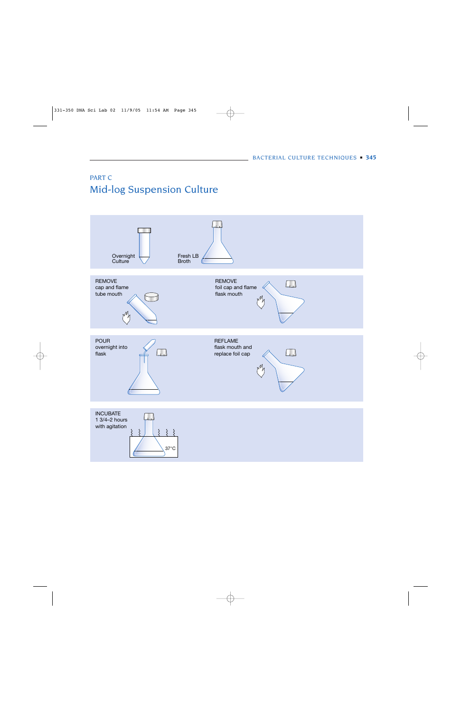## PART C Mid-log Suspension Culture

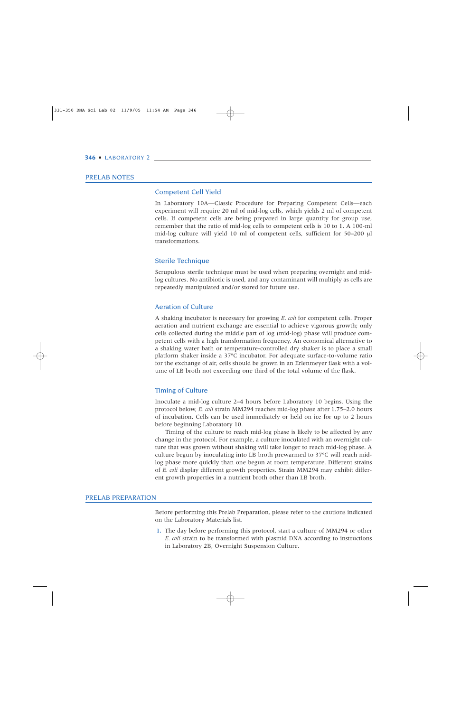#### PRELAB NOTES

#### Competent Cell Yield

In Laboratory 10A—Classic Procedure for Preparing Competent Cells—each experiment will require 20 ml of mid-log cells, which yields 2 ml of competent cells. If competent cells are being prepared in large quantity for group use, remember that the ratio of mid-log cells to competent cells is 10 to 1. A 100-ml mid-log culture will yield 10 ml of competent cells, sufficient for 50–200 µl transformations.

### Sterile Technique

Scrupulous sterile technique must be used when preparing overnight and midlog cultures. No antibiotic is used, and any contaminant will multiply as cells are repeatedly manipulated and/or stored for future use.

#### Aeration of Culture

A shaking incubator is necessary for growing *E. coli* for competent cells. Proper aeration and nutrient exchange are essential to achieve vigorous growth; only cells collected during the middle part of log (mid-log) phase will produce competent cells with a high transformation frequency. An economical alternative to a shaking water bath or temperature-controlled dry shaker is to place a small platform shaker inside a 37ºC incubator. For adequate surface-to-volume ratio for the exchange of air, cells should be grown in an Erlenmeyer flask with a volume of LB broth not exceeding one third of the total volume of the flask.

#### Timing of Culture

Inoculate a mid-log culture 2–4 hours before Laboratory 10 begins. Using the protocol below, *E. coli* strain MM294 reaches mid-log phase after 1.75–2.0 hours of incubation. Cells can be used immediately or held on ice for up to 2 hours before beginning Laboratory 10.

Timing of the culture to reach mid-log phase is likely to be affected by any change in the protocol. For example, a culture inoculated with an overnight culture that was grown without shaking will take longer to reach mid-log phase. A culture begun by inoculating into LB broth prewarmed to 37ºC will reach midlog phase more quickly than one begun at room temperature. Different strains of *E. coli* display different growth properties. Strain MM294 may exhibit different growth properties in a nutrient broth other than LB broth.

#### PRELAB PREPARATION

Before performing this Prelab Preparation, please refer to the cautions indicated on the Laboratory Materials list.

1. The day before performing this protocol, start a culture of MM294 or other *E. coli* strain to be transformed with plasmid DNA according to instructions in Laboratory 2B, Overnight Suspension Culture.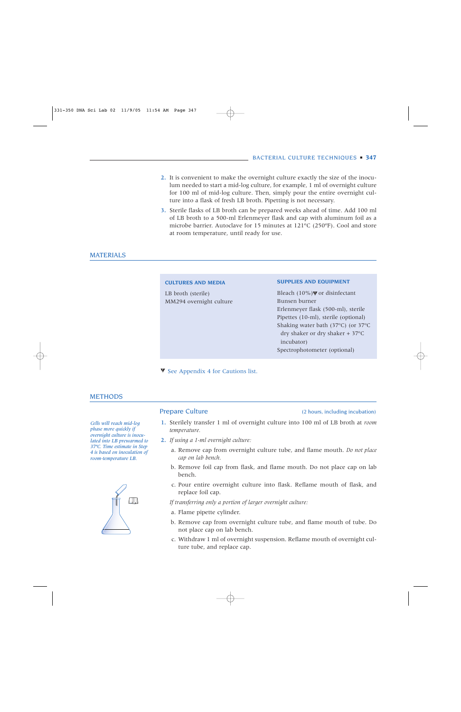- 2. It is convenient to make the overnight culture exactly the size of the inoculum needed to start a mid-log culture, for example, 1 ml of overnight culture for 100 ml of mid-log culture. Then, simply pour the entire overnight culture into a flask of fresh LB broth. Pipetting is not necessary.
- 3. Sterile flasks of LB broth can be prepared weeks ahead of time. Add 100 ml of LB broth to a 500-ml Erlenmeyer flask and cap with aluminum foil as a microbe barrier. Autoclave for 15 minutes at 121ºC (250ºF). Cool and store at room temperature, until ready for use.

### MATERIALS

#### **CULTURES AND MEDIA**

LB broth (sterile) MM294 overnight culture

#### **SUPPLIES AND EQUIPMENT**

Bleach  $(10\%)$  **v** or disinfectant Bunsen burner Erlenmeyer flask (500-ml), sterile Pipettes (10-ml), sterile (optional) Shaking water bath (37ºC) (or 37ºC dry shaker or dry shaker + 37ºC incubator) Spectrophotometer (optional)

 $\blacktriangledown$  See Appendix 4 for Cautions list.

### **METHODS**

*Cells will reach mid-log phase more quickly if overnight culture is inoculated into LB prewarmed to 37ºC. Time estimate in Step 4 is based on inoculation of room-temperature LB.*



- 1. Sterilely transfer 1 ml of overnight culture into 100 ml of LB broth at *room temperature.*
- 2. *If using a 1-ml overnight culture:*
	- a. Remove cap from overnight culture tube, and flame mouth. *Do not place cap on lab bench.*
	- b. Remove foil cap from flask, and flame mouth. Do not place cap on lab bench.
	- c. Pour entire overnight culture into flask. Reflame mouth of flask, and replace foil cap.

*If transferring only a portion of larger overnight culture:*

- a. Flame pipette cylinder.
- b. Remove cap from overnight culture tube, and flame mouth of tube. Do not place cap on lab bench.
- c. Withdraw 1 ml of overnight suspension. Reflame mouth of overnight culture tube, and replace cap.

#### Prepare Culture (2 hours, including incubation)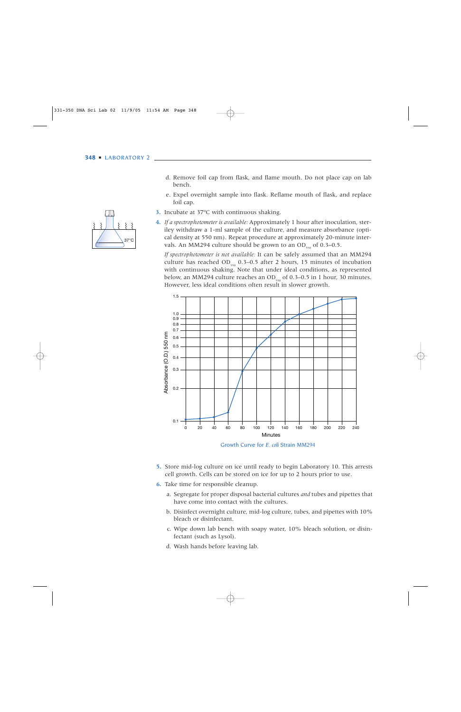

- d. Remove foil cap from flask, and flame mouth. Do not place cap on lab bench.
- e. Expel overnight sample into flask. Reflame mouth of flask, and replace foil cap.
- 3. Incubate at 37ºC with continuous shaking.
- 4. *If a spectrophotometer is available:* Approximately 1 hour after inoculation, steriley withdraw a 1-ml sample of the culture, and measure absorbance (optical density at 550 nm). Repeat procedure at approximately 20-minute intervals. An MM294 culture should be grown to an OD $_{550}$  of 0.3–0.5.

*If spectrophotometer is not available:* It can be safely assumed that an MM294 culture has reached OD<sub>550</sub> 0.3–0.5 after 2 hours, 15 minutes of incubation with continuous shaking. Note that under ideal conditions, as represented below, an MM294 culture reaches an OD<sub>550</sub> of 0.3–0.5 in 1 hour, 30 minutes. However, less ideal conditions often result in slower growth.



Growth Curve for *E. coli* Strain MM294

- 5. Store mid-log culture on ice until ready to begin Laboratory 10. This arrests cell growth. Cells can be stored on ice for up to 2 hours prior to use.
- 6. Take time for responsible cleanup.
	- a. Segregate for proper disposal bacterial cultures *and* tubes and pipettes that have come into contact with the cultures.
	- b. Disinfect overnight culture, mid-log culture, tubes, and pipettes with 10% bleach or disinfectant.
	- c. Wipe down lab bench with soapy water, 10% bleach solution, or disinfectant (such as Lysol).
	- d. Wash hands before leaving lab.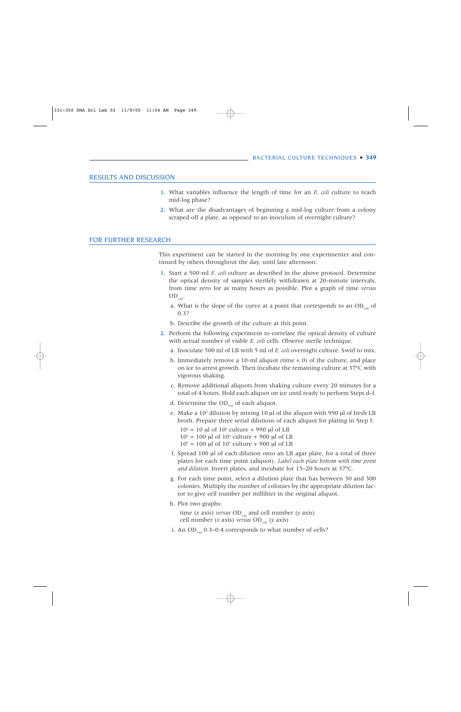#### RESULTS AND DISCUSSION

- 1. What variables influence the length of time for an *E. coli* culture to reach mid-log phase?
- 2. What are the disadvantages of beginning a mid-log culture from a colony scraped off a plate, as opposed to an inoculum of overnight culture?

#### FOR FURTHER RESEARCH

This experiment can be started in the morning by one experimenter and continued by others throughout the day, until late afternoon.

- 1. Start a 500-ml *E. coli* culture as described in the above protocol. Determine the optical density of samples sterilely withdrawn at 20-minute intervals, from time zero for as many hours as possible. Plot a graph of time *versus*  $OD_{550}$ .
	- a. What is the slope of the curve at a point that corresponds to an  $OD_{550}$  of 0.3?
	- b. Describe the growth of the culture at this point.
- 2. Perform the following experiment to correlate the optical density of culture with actual number of viable *E. coli* cells. Observe sterile technique.
	- a. Inoculate 500 ml of LB with 5 ml of *E. coli* overnight culture. Swirl to mix.
	- b. Immediately remove a 10-ml aliquot (time  $= 0$ ) of the culture, and place on ice to arrest growth. Then incubate the remaining culture at 37ºC with vigorous shaking.
	- c. Remove additional aliquots from shaking culture every 20 minutes for a total of 4 hours. Hold each aliquot on ice until ready to perform Steps d–f.
	- d. Determine the  $OD_{550}$  of each aliquot.
	- e. Make a  $10^2$  dilution by mixing 10 µl of the aliquot with 990 µl of fresh LB broth. Prepare three serial dilutions of each aliquot for plating in Step f:
		- $10^4$  = 10 µl of 10<sup>2</sup> culture + 990 µl of LB
		- $10^5$  = 100 µl of 10<sup>4</sup> culture + 900 µl of LB
		- $10^6$  = 100 µl of 10<sup>5</sup> culture + 900 µl of LB
	- f. Spread 100 µl of each dilution onto an LB agar plate, for a total of three plates for each time point (aliquot). *Label each plate bottom with time point and dilution.* Invert plates, and incubate for 15–20 hours at 37ºC.
	- g. For each time point, select a dilution plate that has between 30 and 300 colonies. Multiply the number of colonies by the appropriate dilution factor to give cell number per milliliter in the original aliquot.
	- h. Plot two graphs:

time (*x* axis) *versus* OD<sub>550</sub> and cell number (*y* axis) cell number  $(x \text{ axis})$  *versus* OD<sub>550</sub>  $(y \text{ axis})$ 

i. An OD $_{550}$  0.3–0.4 corresponds to what number of cells?